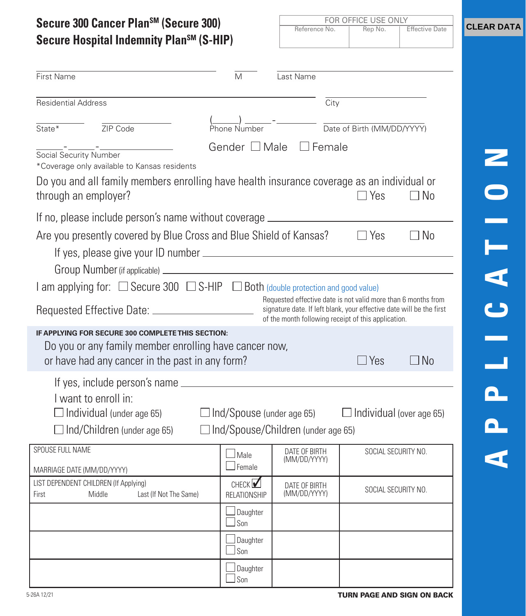| Secure Hospital Indemnity Plan <sup>sM</sup> (S-HIP)                                                                                                                          |                                           | Reference No.                                                                                                                         | Rep No.                    | <b>Effective Date</b> |
|-------------------------------------------------------------------------------------------------------------------------------------------------------------------------------|-------------------------------------------|---------------------------------------------------------------------------------------------------------------------------------------|----------------------------|-----------------------|
| First Name                                                                                                                                                                    | M                                         | Last Name                                                                                                                             |                            |                       |
| <b>Residential Address</b>                                                                                                                                                    |                                           | $\overline{City}$                                                                                                                     |                            |                       |
| ZIP Code<br>State $*$                                                                                                                                                         | Phone Number                              |                                                                                                                                       | Date of Birth (MM/DD/YYYY) |                       |
| *Coverage only available to Kansas residents<br>Do you and all family members enrolling have health insurance coverage as an individual or                                    |                                           | Gender □ Male □ Female                                                                                                                |                            |                       |
| through an employer?                                                                                                                                                          |                                           |                                                                                                                                       | $\Box$ Yes                 | $\Box$ No             |
| If no, please include person's name without coverage ___________________________                                                                                              |                                           |                                                                                                                                       |                            |                       |
| Are you presently covered by Blue Cross and Blue Shield of Kansas? □ DYes<br>I am applying for: $\Box$ Secure 300 $\Box$ S-HIP $\Box$ Both (double protection and good value) |                                           | Requested effective date is not valid more than 6 months from<br>signature date. If left blank, your effective date will be the first |                            |                       |
| IF APPLYING FOR SECURE 300 COMPLETE THIS SECTION:                                                                                                                             |                                           | of the month following receipt of this application.                                                                                   |                            |                       |
| Do you or any family member enrolling have cancer now,<br>or have had any cancer in the past in any form?                                                                     |                                           |                                                                                                                                       | $\Box$ Yes                 | $\Box$ No             |
|                                                                                                                                                                               |                                           |                                                                                                                                       |                            |                       |
| I want to enroll in:<br>$\Box$ Individual (under age 65) $\Box$ Ind/Spouse (under age 65) $\Box$ Individual (over age 65)<br>$\Box$ Ind/Children (under age 65)               | $\Box$ Ind/Spouse/Children (under age 65) |                                                                                                                                       |                            |                       |
| SPOUSE FULL NAME                                                                                                                                                              |                                           | DATE OF BIRTH                                                                                                                         |                            | SOCIAL SECURITY NO.   |
| MARRIAGE DATE (MM/DD/YYYY)                                                                                                                                                    | Male<br>Female                            | (MM/DD/YYYY)                                                                                                                          |                            |                       |
| LIST DEPENDENT CHILDREN (If Applying)<br>Middle<br>Last (If Not The Same)<br>First                                                                                            | CHECK $\nabla$<br>RELATIONSHIP            | DATE OF BIRTH<br>(MM/DD/YYYY)                                                                                                         |                            | SOCIAL SECURITY NO.   |
|                                                                                                                                                                               | Daughter<br>$\Box$ Son                    |                                                                                                                                       |                            |                       |
|                                                                                                                                                                               | Daughter<br>Son                           |                                                                                                                                       |                            |                       |
|                                                                                                                                                                               | Daughter<br>Son                           |                                                                                                                                       |                            |                       |